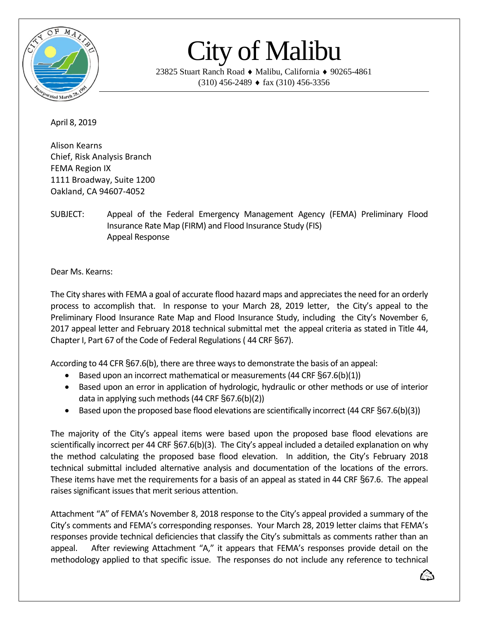

## City of Malibu

23825 Stuart Ranch Road ♦ Malibu, California ♦ 90265-4861  $(310)$  456-2489  $\bullet$  fax  $(310)$  456-3356

April 8, 2019

Alison Kearns Chief, Risk Analysis Branch FEMA Region IX 1111 Broadway, Suite 1200 Oakland, CA 94607-4052

SUBJECT: Appeal of the Federal Emergency Management Agency (FEMA) Preliminary Flood Insurance Rate Map (FIRM) and Flood Insurance Study (FIS) Appeal Response

Dear Ms. Kearns:

The City shares with FEMA a goal of accurate flood hazard maps and appreciates the need for an orderly process to accomplish that. In response to your March 28, 2019 letter, the City's appeal to the Preliminary Flood Insurance Rate Map and Flood Insurance Study, including the City's November 6, 2017 appeal letter and February 2018 technical submittal met the appeal criteria as stated in Title 44, Chapter I, Part 67 of the Code of Federal Regulations( 44 CRF §67).

According to 44 CFR §67.6(b), there are three ways to demonstrate the basis of an appeal:

- Based upon an incorrect mathematical or measurements (44 CRF §67.6(b)(1))
- Based upon an error in application of hydrologic, hydraulic or other methods or use of interior data in applying such methods (44 CRF §67.6(b)(2))
- Based upon the proposed base flood elevations are scientifically incorrect (44 CRF §67.6(b)(3))

The majority of the City's appeal items were based upon the proposed base flood elevations are scientifically incorrect per 44 CRF §67.6(b)(3). The City's appeal included a detailed explanation on why the method calculating the proposed base flood elevation. In addition, the City's February 2018 technical submittal included alternative analysis and documentation of the locations of the errors. These items have met the requirements for a basis of an appeal as stated in 44 CRF §67.6. The appeal raises significant issues that merit serious attention.

Attachment "A" of FEMA's November 8, 2018 response to the City's appeal provided a summary of the City's comments and FEMA's corresponding responses. Your March 28, 2019 letter claims that FEMA's responses provide technical deficiencies that classify the City's submittals as comments rather than an appeal. After reviewing Attachment "A," it appears that FEMA's responses provide detail on the methodology applied to that specific issue. The responses do not include any reference to technical